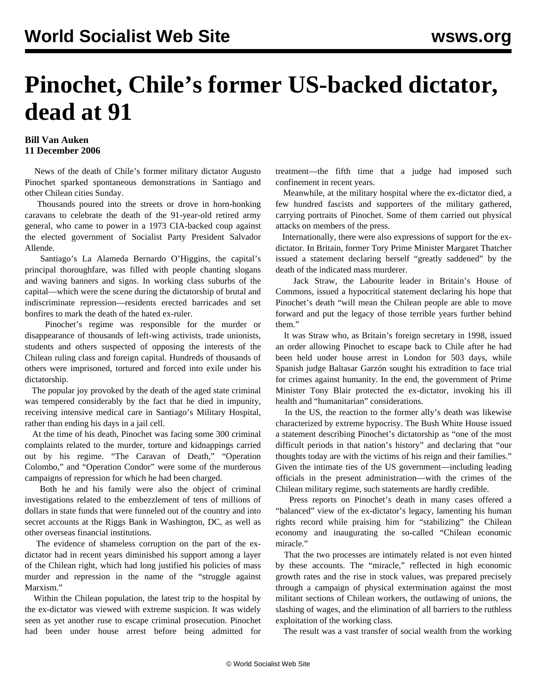## **Pinochet, Chile's former US-backed dictator, dead at 91**

## **Bill Van Auken 11 December 2006**

 News of the death of Chile's former military dictator Augusto Pinochet sparked spontaneous demonstrations in Santiago and other Chilean cities Sunday.

 Thousands poured into the streets or drove in horn-honking caravans to celebrate the death of the 91-year-old retired army general, who came to power in a 1973 CIA-backed coup against the elected government of Socialist Party President Salvador Allende.

 Santiago's La Alameda Bernardo O'Higgins, the capital's principal thoroughfare, was filled with people chanting slogans and waving banners and signs. In working class suburbs of the capital—which were the scene during the dictatorship of brutal and indiscriminate repression—residents erected barricades and set bonfires to mark the death of the hated ex-ruler.

 Pinochet's regime was responsible for the murder or disappearance of thousands of left-wing activists, trade unionists, students and others suspected of opposing the interests of the Chilean ruling class and foreign capital. Hundreds of thousands of others were imprisoned, tortured and forced into exile under his dictatorship.

 The popular joy provoked by the death of the aged state criminal was tempered considerably by the fact that he died in impunity, receiving intensive medical care in Santiago's Military Hospital, rather than ending his days in a jail cell.

 At the time of his death, Pinochet was facing some 300 criminal complaints related to the murder, torture and kidnappings carried out by his regime. "The Caravan of Death," "Operation Colombo," and "Operation Condor" were some of the murderous campaigns of repression for which he had been charged.

 Both he and his family were also the object of criminal investigations related to the embezzlement of tens of millions of dollars in state funds that were funneled out of the country and into secret accounts at the Riggs Bank in Washington, DC, as well as other overseas financial institutions.

 The evidence of shameless corruption on the part of the exdictator had in recent years diminished his support among a layer of the Chilean right, which had long justified his policies of mass murder and repression in the name of the "struggle against Marxism."

 Within the Chilean population, the latest trip to the hospital by the ex-dictator was viewed with extreme suspicion. It was widely seen as yet another ruse to escape criminal prosecution. Pinochet had been under house arrest before being admitted for treatment—the fifth time that a judge had imposed such confinement in recent years.

 Meanwhile, at the military hospital where the ex-dictator died, a few hundred fascists and supporters of the military gathered, carrying portraits of Pinochet. Some of them carried out physical attacks on members of the press.

 Internationally, there were also expressions of support for the exdictator. In Britain, former Tory Prime Minister Margaret Thatcher issued a statement declaring herself "greatly saddened" by the death of the indicated mass murderer.

 Jack Straw, the Labourite leader in Britain's House of Commons, issued a hypocritical statement declaring his hope that Pinochet's death "will mean the Chilean people are able to move forward and put the legacy of those terrible years further behind them."

 It was Straw who, as Britain's foreign secretary in 1998, issued an order allowing Pinochet to escape back to Chile after he had been held under house arrest in London for 503 days, while Spanish judge Baltasar Garzón sought his extradition to face trial for crimes against humanity. In the end, the government of Prime Minister Tony Blair protected the ex-dictator, invoking his ill health and "humanitarian" considerations.

 In the US, the reaction to the former ally's death was likewise characterized by extreme hypocrisy. The Bush White House issued a statement describing Pinochet's dictatorship as "one of the most difficult periods in that nation's history" and declaring that "our thoughts today are with the victims of his reign and their families." Given the intimate ties of the US government—including leading officials in the present administration—with the crimes of the Chilean military regime, such statements are hardly credible.

 Press reports on Pinochet's death in many cases offered a "balanced" view of the ex-dictator's legacy, lamenting his human rights record while praising him for "stabilizing" the Chilean economy and inaugurating the so-called "Chilean economic miracle."

 That the two processes are intimately related is not even hinted by these accounts. The "miracle," reflected in high economic growth rates and the rise in stock values, was prepared precisely through a campaign of physical extermination against the most militant sections of Chilean workers, the outlawing of unions, the slashing of wages, and the elimination of all barriers to the ruthless exploitation of the working class.

The result was a vast transfer of social wealth from the working